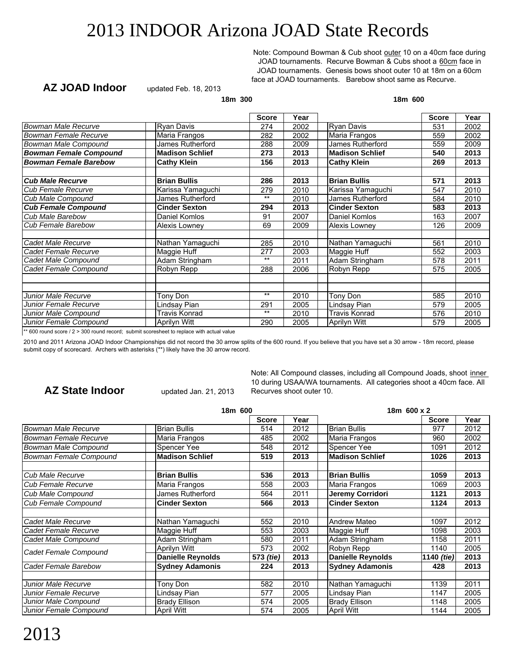Note: Compound Bowman & Cub shoot outer 10 on a 40cm face during JOAD tournaments. Recurve Bowman & Cubs shoot a 60cm face in JOAD tournaments. Genesis bows shoot outer 10 at 18m on a 60cm face at JOAD tournaments. Barebow shoot same as Recurve.

#### **AZ JOAD Indoor**

updated Feb. 18, 2013

**18m 300 18m 600**

|                        | <b>Score</b> | Year |                        | <b>Score</b> | Year                                                                                                                   |
|------------------------|--------------|------|------------------------|--------------|------------------------------------------------------------------------------------------------------------------------|
| Ryan Davis             | 274          | 2002 | <b>Ryan Davis</b>      | 531          | 2002                                                                                                                   |
| Maria Frangos          | 282          | 2002 | Maria Frangos          | 559          | 2002                                                                                                                   |
| James Rutherford       | 288          | 2009 | James Rutherford       | 559          | 2009                                                                                                                   |
| <b>Madison Schlief</b> | 273          | 2013 | <b>Madison Schlief</b> | 540          | 2013                                                                                                                   |
| <b>Cathy Klein</b>     | 156          | 2013 | <b>Cathy Klein</b>     | 269          | 2013                                                                                                                   |
|                        |              |      |                        |              |                                                                                                                        |
| <b>Brian Bullis</b>    | 286          | 2013 | <b>Brian Bullis</b>    | 571          | 2013                                                                                                                   |
| Karissa Yamaguchi      | 279          | 2010 | Karissa Yamaguchi      | 547          | 2010                                                                                                                   |
| James Rutherford       | $***$        | 2010 | James Rutherford       | 584          | 2010                                                                                                                   |
| <b>Cinder Sexton</b>   | 294          | 2013 | <b>Cinder Sexton</b>   | 583          | 2013                                                                                                                   |
| Daniel Komlos          | 91           | 2007 | Daniel Komlos          | 163          | 2007                                                                                                                   |
| Alexis Lowney          | 69           | 2009 | Alexis Lowney          | 126          | 2009                                                                                                                   |
|                        |              |      |                        |              |                                                                                                                        |
| Nathan Yamaguchi       | 285          | 2010 | Nathan Yamaguchi       | 561          | 2010                                                                                                                   |
| Maggie Huff            | 277          | 2003 | Maggie Huff            | 552          | 2003                                                                                                                   |
| Adam Stringham         | $***$        | 2011 | Adam Stringham         | 578          | 2011                                                                                                                   |
| Robyn Repp             | 288          | 2006 | Robyn Repp             | 575          | 2005                                                                                                                   |
|                        |              |      |                        |              |                                                                                                                        |
|                        |              |      |                        |              |                                                                                                                        |
| Tony Don               | $***$        | 2010 |                        | 585          | 2010                                                                                                                   |
| Lindsay Pian           | 291          | 2005 | Lindsay Pian           | 579          | 2005                                                                                                                   |
| Travis Konrad          | $***$        | 2010 | <b>Travis Konrad</b>   | 576          | 2010                                                                                                                   |
| Aprilyn Witt           | 290          | 2005 | Aprilyn Witt           | 579          | 2005                                                                                                                   |
|                        |              |      |                        | Tony Don     | <b>HE AAA</b> 10 C 2010 10 C 2010 10 AAA 10 C 2010 10 C 2010 10 C 2010 10 C 2010 10 C 2010 10 C 2010 10 C 2010 10 C 20 |

 $*$  600 round score / 2 > 300 round record; submit scoresheet to replace with actual value

2010 and 2011 Arizona JOAD Indoor Championships did not record the 30 arrow splits of the 600 round. If you believe that you have set a 30 arrow - 18m record, please submit copy of scorecard. Archers with asterisks (\*\*) likely have the 30 arrow record.

### **AZ State Indoor**

updated Jan. 21, 2013

Note: All Compound classes, including all Compound Joads, shoot inner 10 during USAA/WA tournaments. All categories shoot a 40cm face. All Recurves shoot outer 10.

|                              | 18m 600                  |              | 18m 600 x 2 |                          |                   |      |
|------------------------------|--------------------------|--------------|-------------|--------------------------|-------------------|------|
|                              |                          | <b>Score</b> | Year        |                          | <b>Score</b>      | Year |
| <b>Bowman Male Recurve</b>   | <b>Brian Bullis</b>      | 514          | 2012        | <b>Brian Bullis</b>      | 977               | 2012 |
| <b>Bowman Female Recurve</b> | Maria Frangos            | 485          | 2002        | Maria Frangos            | 960               | 2002 |
| Bowman Male Compound         | Spencer Yee              | 548          | 2012        | Spencer Yee              | 1091              | 2012 |
| Bowman Female Compound       | <b>Madison Schlief</b>   | 519          | 2013        | <b>Madison Schlief</b>   | 1026              | 2013 |
|                              |                          |              |             |                          |                   |      |
| Cub Male Recurve             | <b>Brian Bullis</b>      | 536          | 2013        | <b>Brian Bullis</b>      | 1059              | 2013 |
| Cub Female Recurve           | Maria Frangos            | 558          | 2003        | Maria Frangos            | 1069              | 2003 |
| <b>Cub Male Compound</b>     | James Rutherford         | 564          | 2011        | Jeremy Corridori         | 1121              | 2013 |
| <b>Cub Female Compound</b>   | <b>Cinder Sexton</b>     | 566          | 2013        | <b>Cinder Sexton</b>     | 1124              | 2013 |
|                              |                          |              |             |                          |                   |      |
| Cadet Male Recurve           | Nathan Yamaguchi         | 552          | 2010        | <b>Andrew Mateo</b>      | 1097              | 2012 |
| Cadet Female Recurve         | Maggie Huff              | 553          | 2003        | Maggie Huff              | 1098              | 2003 |
| Cadet Male Compound          | Adam Stringham           | 580          | 2011        | Adam Stringham           | 1158              | 2011 |
| Cadet Female Compound        | Aprilyn Witt             | 573          | 2002        | Robyn Repp               | 1140              | 2005 |
|                              | <b>Danielle Reynolds</b> | 573 (tie)    | 2013        | <b>Danielle Reynolds</b> | 1140 <i>(tie)</i> | 2013 |
| Cadet Female Barebow         | <b>Sydney Adamonis</b>   | 224          | 2013        | <b>Sydney Adamonis</b>   | 428               | 2013 |
|                              |                          |              |             |                          |                   |      |
| Junior Male Recurve          | Tony Don                 | 582          | 2010        | Nathan Yamaguchi         | 1139              | 2011 |
| Junior Female Recurve        | Lindsay Pian             | 577          | 2005        | Lindsay Pian             | 1147              | 2005 |
| Junior Male Compound         | <b>Brady Ellison</b>     | 574          | 2005        | <b>Brady Ellison</b>     | 1148              | 2005 |
| Junior Female Compound       | <b>April Witt</b>        | 574          | 2005        | <b>April Witt</b>        | 1144              | 2005 |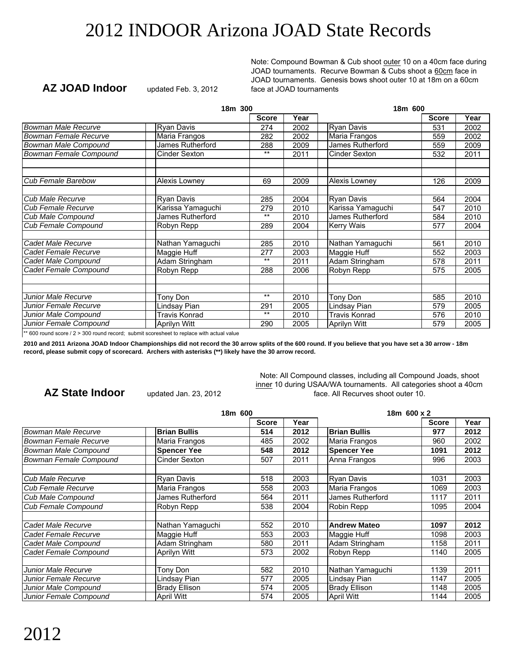Note: Compound Bowman & Cub shoot outer 10 on a 40cm face during JOAD tournaments. Recurve Bowman & Cubs shoot a 60cm face in JOAD tournaments. Genesis bows shoot outer 10 at 18m on a 60cm face at JOAD tournaments

#### **Score Year Score Year** 274 | 2002 | | Ryan Davis | 531 | 2002 282 2002 Maria Frangos 1959 2002<br>288 2009 James Rutherford 559 2009 288 2009 James Rutherford 559 2009<br>\*\* 2011 Cinder Sexton 532 2011 Cinder Sexton *Bowman Male Genesis* **Michael Adams 69 2012 Michael Adams 126 2012** 69 2009 Alexis Lowney 126 2009 2004 Ryan Davis<br>279 2010 Karissa Yamaguchi 1947 2010 279 2010 547 2010 \*\* 2010 James Rutherford 584 2010<br>289 2004 Kerry Wais 577 2004 **Kerry Wais** 285 | 2010 | Nathan Yamaguchi | 561 | 2010 277 | 2003 | Maggie Huff | 552 | 2003  $**$  | 2011 | Adam Stringham | 578 | 2011 288 2006 Robyn Repp 1 575 2005 *Cadet Male Genesis* **Jason Thompson 211 2012 Jason Thompson 421 2012** \*\* | 2010 | Tony Don | 585 | 2010 291 | 2005 | Lindsay Pian | 579 | 2005 \*\* 2010 Travis Konrad 576 2010<br>290 2005 Aprilyn Witt 579 2005 290 | 2005 | Aprilyn Witt | 579 | 2005 **18m 300 18m 600** *Bowman Male Recurve* | Ryan Davis **Bowman Female Recurve | Maria Frangos** *Bowman Male Compound* James Rutherford James Rutherford **Bowman Female Compound Cinder Sexton Cub Female Barebow** Alexis Lowney **Cub Male Recurve Ryan Davis**<br> **Cub Female Recurve Recurve Ryan Racissa Yamaguchi Cub Female Recurve** *Cub Male Compound* James Rutherford James Rutherford **Cub Female Compound Cadet Male Recurve** Nathan Yamaguchi **Cadet Female Recurve Naggie Huff Cadet Male Compound** Adam Stringham *Cadet Female Compound* | Robyn Repp *Junior Male Recurve* The Tony Don *Junior Female Recurve* | Lindsay Pian *Junior Male Compound* | Travis Konrad *Junior Female Compound* | Aprilyn Witt

\*\* 600 round score / 2 > 300 round record; submit scoresheet to replace with actual value

**2010 and 2011 Arizona JOAD Indoor Championships did not record the 30 arrow splits of the 600 round. If you believe that you have set a 30 arrow - 18m record, please submit copy of scorecard. Archers with asterisks (\*\*) likely have the 30 arrow record.**

#### **AZ State Indoor**

**AZ JOAD Indoor**

updated Jan. 23, 2012

updated Feb. 3, 2012

Note: All Compound classes, including all Compound Joads, shoot inner 10 during USAA/WA tournaments. All categories shoot a 40cm face. All Recurves shoot outer 10.

|                            | 18m 600              |              |      | 18m 600 x 2          |              |      |
|----------------------------|----------------------|--------------|------|----------------------|--------------|------|
|                            |                      | <b>Score</b> | Year |                      | <b>Score</b> | Year |
| <b>Bowman Male Recurve</b> | <b>Brian Bullis</b>  | 514          | 2012 | <b>Brian Bullis</b>  | 977          | 2012 |
| Bowman Female Recurve      | Maria Frangos        | 485          | 2002 | Maria Frangos        | 960          | 2002 |
| Bowman Male Compound       | <b>Spencer Yee</b>   | 548          | 2012 | <b>Spencer Yee</b>   | 1091         | 2012 |
| Bowman Female Compound     | Cinder Sexton        | 507          | 2011 | Anna Frangos         | 996          | 2003 |
|                            |                      |              |      |                      |              |      |
| Cub Male Recurve           | Ryan Davis           | 518          | 2003 | <b>Ryan Davis</b>    | 1031         | 2003 |
| <b>Cub Female Recurve</b>  | Maria Frangos        | 558          | 2003 | Maria Frangos        | 1069         | 2003 |
| Cub Male Compound          | James Rutherford     | 564          | 2011 | James Rutherford     | 1117         | 2011 |
| Cub Female Compound        | Robyn Repp           | 538          | 2004 | Robin Repp           | 1095         | 2004 |
|                            |                      |              |      |                      |              |      |
| Cadet Male Recurve         | Nathan Yamaquchi     | 552          | 2010 | <b>Andrew Mateo</b>  | 1097         | 2012 |
| Cadet Female Recurve       | Maggie Huff          | 553          | 2003 | Maggie Huff          | 1098         | 2003 |
| Cadet Male Compound        | Adam Stringham       | 580          | 2011 | Adam Stringham       | 1158         | 2011 |
| Cadet Female Compound      | Aprilyn Witt         | 573          | 2002 | Robyn Repp           | 1140         | 2005 |
|                            |                      |              |      |                      |              |      |
| Junior Male Recurve        | Tony Don             | 582          | 2010 | Nathan Yamaguchi     | 1139         | 2011 |
| Junior Female Recurve      | Lindsay Pian         | 577          | 2005 | Lindsay Pian         | 1147         | 2005 |
| Junior Male Compound       | <b>Brady Ellison</b> | 574          | 2005 | <b>Brady Ellison</b> | 1148         | 2005 |
| Junior Female Compound     | April Witt           | 574          | 2005 | <b>April Witt</b>    | 1144         | 2005 |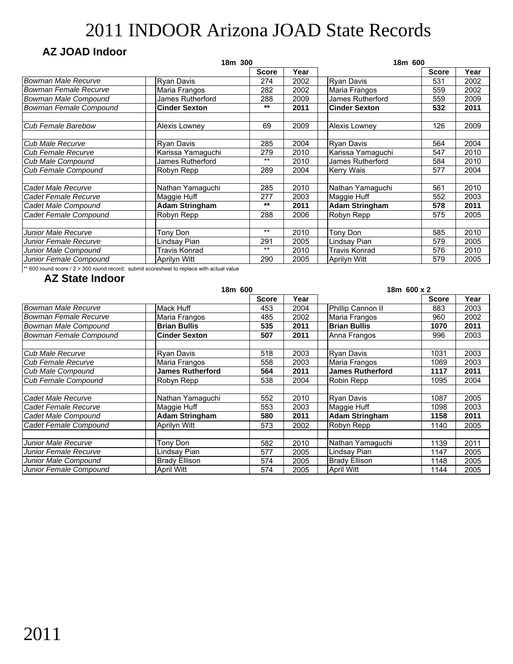### **AZ JOAD Indoor**

|                              | 18m 300               |              |      | 18m 600               |              |      |
|------------------------------|-----------------------|--------------|------|-----------------------|--------------|------|
|                              |                       | <b>Score</b> | Year |                       | <b>Score</b> | Year |
| <b>Bowman Male Recurve</b>   | <b>Ryan Davis</b>     | 274          | 2002 | <b>Ryan Davis</b>     | 531          | 2002 |
| <b>Bowman Female Recurve</b> | Maria Frangos         | 282          | 2002 | Maria Frangos         | 559          | 2002 |
| Bowman Male Compound         | James Rutherford      | 288          | 2009 | James Rutherford      | 559          | 2009 |
| Bowman Female Compound       | <b>Cinder Sexton</b>  | $***$        | 2011 | <b>Cinder Sexton</b>  | 532          | 2011 |
| <b>Cub Female Barebow</b>    | Alexis Lowney         | 69           | 2009 | Alexis Lowney         | 126          | 2009 |
| Cub Male Recurve             | <b>Ryan Davis</b>     | 285          | 2004 | <b>Ryan Davis</b>     | 564          | 2004 |
| <b>Cub Female Recurve</b>    | Karissa Yamaguchi     | 279          | 2010 | Karissa Yamaguchi     | 547          | 2010 |
| Cub Male Compound            | James Rutherford      | $***$        | 2010 | James Rutherford      | 584          | 2010 |
| Cub Female Compound          | Robyn Repp            | 289          | 2004 | <b>Kerry Wais</b>     | 577          | 2004 |
| Cadet Male Recurve           | Nathan Yamaguchi      | 285          | 2010 | Nathan Yamaguchi      | 561          | 2010 |
| Cadet Female Recurve         | Maggie Huff           | 277          | 2003 | Maggie Huff           | 552          | 2003 |
| Cadet Male Compound          | <b>Adam Stringham</b> | $***$        | 2011 | <b>Adam Stringham</b> | 578          | 2011 |
| Cadet Female Compound        | Robyn Repp            | 288          | 2006 | Robyn Repp            | 575          | 2005 |
|                              |                       | $***$        |      |                       |              |      |
| Junior Male Recurve          | Tony Don              |              | 2010 | Tony Don              | 585          | 2010 |
| Junior Female Recurve        | Lindsay Pian          | 291          | 2005 | Lindsay Pian          | 579          | 2005 |
| Junior Male Compound         | Travis Konrad         | $***$        | 2010 | Travis Konrad         | 576          | 2010 |
| Junior Female Compound       | Aprilyn Witt          | 290          | 2005 | <b>Aprilyn Witt</b>   | 579          | 2005 |

 $**$  600 round score / 2 > 300 round record; submit scoresheet to replace with actual value

|                            | 18m 600                 |              |      | 18m 600 x 2             |              |      |  |
|----------------------------|-------------------------|--------------|------|-------------------------|--------------|------|--|
|                            |                         | <b>Score</b> | Year |                         | <b>Score</b> | Year |  |
| <b>Bowman Male Recurve</b> | Mack Huff               | 453          | 2004 | Phillip Cannon II       | 883          | 2003 |  |
| Bowman Female Recurve      | Maria Frangos           | 485          | 2002 | Maria Frangos           | 960          | 2002 |  |
| Bowman Male Compound       | <b>Brian Bullis</b>     | 535          | 2011 | <b>Brian Bullis</b>     | 1070         | 2011 |  |
| Bowman Female Compound     | <b>Cinder Sexton</b>    | 507          | 2011 | Anna Frangos            | 996          | 2003 |  |
|                            |                         |              |      |                         |              |      |  |
| Cub Male Recurve           | Ryan Davis              | 518          | 2003 | <b>Ryan Davis</b>       | 1031         | 2003 |  |
| <b>Cub Female Recurve</b>  | Maria Frangos           | 558          | 2003 | Maria Frangos           | 1069         | 2003 |  |
| Cub Male Compound          | <b>James Rutherford</b> | 564          | 2011 | <b>James Rutherford</b> | 1117         | 2011 |  |
| Cub Female Compound        | Robyn Repp              | 538          | 2004 | Robin Repp              | 1095         | 2004 |  |
|                            |                         |              |      |                         |              |      |  |
| Cadet Male Recurve         | Nathan Yamaguchi        | 552          | 2010 | <b>Ryan Davis</b>       | 1087         | 2005 |  |
| Cadet Female Recurve       | Maggie Huff             | 553          | 2003 | Maggie Huff             | 1098         | 2003 |  |
| Cadet Male Compound        | <b>Adam Stringham</b>   | 580          | 2011 | <b>Adam Stringham</b>   | 1158         | 2011 |  |
| Cadet Female Compound      | Aprilyn Witt            | 573          | 2002 | Robyn Repp              | 1140         | 2005 |  |
|                            |                         |              |      |                         |              |      |  |
| <b>Junior Male Recurve</b> | Tony Don                | 582          | 2010 | Nathan Yamaguchi        | 1139         | 2011 |  |
| Junior Female Recurve      | Lindsay Pian            | 577          | 2005 | Lindsay Pian            | 1147         | 2005 |  |
| Junior Male Compound       | <b>Brady Ellison</b>    | 574          | 2005 | <b>Brady Ellison</b>    | 1148         | 2005 |  |
| Junior Female Compound     | April Witt              | 574          | 2005 | April Witt              | 1144         | 2005 |  |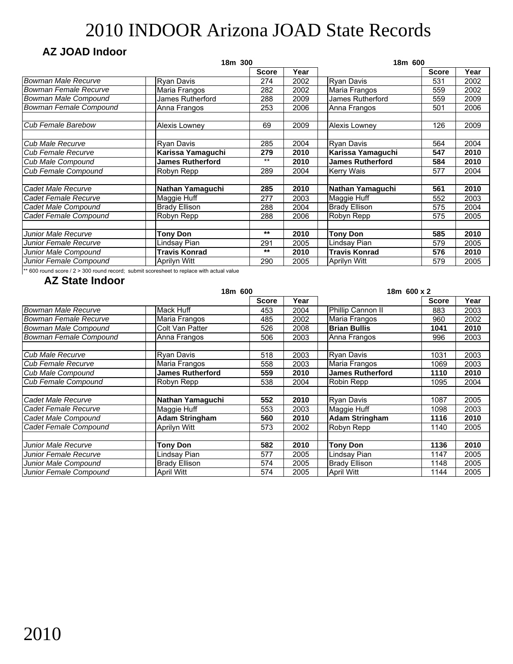### **AZ JOAD Indoor**

|                              | 18m 300                 |              |      | 18m 600                 |              |      |  |
|------------------------------|-------------------------|--------------|------|-------------------------|--------------|------|--|
|                              |                         | <b>Score</b> | Year |                         | <b>Score</b> | Year |  |
| <b>Bowman Male Recurve</b>   | <b>Ryan Davis</b>       | 274          | 2002 | <b>Ryan Davis</b>       | 531          | 2002 |  |
| <b>Bowman Female Recurve</b> | Maria Frangos           | 282          | 2002 | Maria Frangos           | 559          | 2002 |  |
| Bowman Male Compound         | James Rutherford        | 288          | 2009 | James Rutherford        | 559          | 2009 |  |
| Bowman Female Compound       | Anna Frangos            | 253          | 2006 | Anna Frangos            | 501          | 2006 |  |
| Cub Female Barebow           | Alexis Lowney           | 69           | 2009 | Alexis Lowney           | 126          | 2009 |  |
| Cub Male Recurve             | Ryan Davis              | 285          | 2004 | <b>Ryan Davis</b>       | 564          | 2004 |  |
| <b>Cub Female Recurve</b>    | Karissa Yamaguchi       | 279          | 2010 | Karissa Yamaguchi       | 547          | 2010 |  |
| <b>Cub Male Compound</b>     | <b>James Rutherford</b> | $***$        | 2010 | <b>James Rutherford</b> | 584          | 2010 |  |
| Cub Female Compound          | Robyn Repp              | 289          | 2004 | <b>Kerry Wais</b>       | 577          | 2004 |  |
| Cadet Male Recurve           | Nathan Yamaguchi        | 285          | 2010 | Nathan Yamaguchi        | 561          | 2010 |  |
| Cadet Female Recurve         | Maggie Huff             | 277          | 2003 | Maggie Huff             | 552          | 2003 |  |
| Cadet Male Compound          | <b>Brady Ellison</b>    | 288          | 2004 | <b>Brady Ellison</b>    | 575          | 2004 |  |
| Cadet Female Compound        | Robyn Repp              | 288          | 2006 | Robyn Repp              | 575          | 2005 |  |
| Junior Male Recurve          | <b>Tony Don</b>         | $***$        | 2010 | <b>Tony Don</b>         | 585          | 2010 |  |
| Junior Female Recurve        | Lindsay Pian            | 291          | 2005 | Lindsay Pian            | 579          | 2005 |  |
| Junior Male Compound         | <b>Travis Konrad</b>    | $***$        | 2010 | <b>Travis Konrad</b>    | 576          | 2010 |  |
| Junior Female Compound       | <b>Aprilyn Witt</b>     | 290          | 2005 | Aprilyn Witt            | 579          | 2005 |  |

\*\* 600 round score / 2 > 300 round record; submit scoresheet to replace with actual value

|                              | 18m 600                 |              |      | 18m 600 x 2             |              |      |
|------------------------------|-------------------------|--------------|------|-------------------------|--------------|------|
|                              |                         | <b>Score</b> | Year |                         | <b>Score</b> | Year |
| <b>Bowman Male Recurve</b>   | Mack Huff               | 453          | 2004 | Phillip Cannon II       | 883          | 2003 |
| <b>Bowman Female Recurve</b> | Maria Frangos           | 485          | 2002 | Maria Frangos           | 960          | 2002 |
| Bowman Male Compound         | Colt Van Patter         | 526          | 2008 | <b>Brian Bullis</b>     | 1041         | 2010 |
| Bowman Female Compound       | Anna Frangos            | 506          | 2003 | Anna Frangos            | 996          | 2003 |
| Cub Male Recurve             | Rvan Davis              | 518          | 2003 | Ryan Davis              | 1031         | 2003 |
| <b>Cub Female Recurve</b>    | Maria Frangos           | 558          | 2003 | Maria Frangos           | 1069         | 2003 |
| Cub Male Compound            | <b>James Rutherford</b> | 559          | 2010 | <b>James Rutherford</b> | 1110         | 2010 |
| Cub Female Compound          | Robyn Repp              | 538          | 2004 | Robin Repp              | 1095         | 2004 |
|                              |                         |              |      |                         |              |      |
| Cadet Male Recurve           | Nathan Yamaguchi        | 552          | 2010 | <b>Ryan Davis</b>       | 1087         | 2005 |
| Cadet Female Recurve         | Maggie Huff             | 553          | 2003 | Maggie Huff             | 1098         | 2003 |
| Cadet Male Compound          | <b>Adam Stringham</b>   | 560          | 2010 | <b>Adam Stringham</b>   | 1116         | 2010 |
| Cadet Female Compound        | Aprilyn Witt            | 573          | 2002 | Robyn Repp              | 1140         | 2005 |
|                              |                         |              |      |                         |              |      |
| Junior Male Recurve          | <b>Tony Don</b>         | 582          | 2010 | <b>Tony Don</b>         | 1136         | 2010 |
| Junior Female Recurve        | Lindsay Pian            | 577          | 2005 | Lindsay Pian            | 1147         | 2005 |
| Junior Male Compound         | <b>Brady Ellison</b>    | 574          | 2005 | <b>Brady Ellison</b>    | 1148         | 2005 |
| Junior Female Compound       | <b>April Witt</b>       | 574          | 2005 | April Witt              | 1144         | 2005 |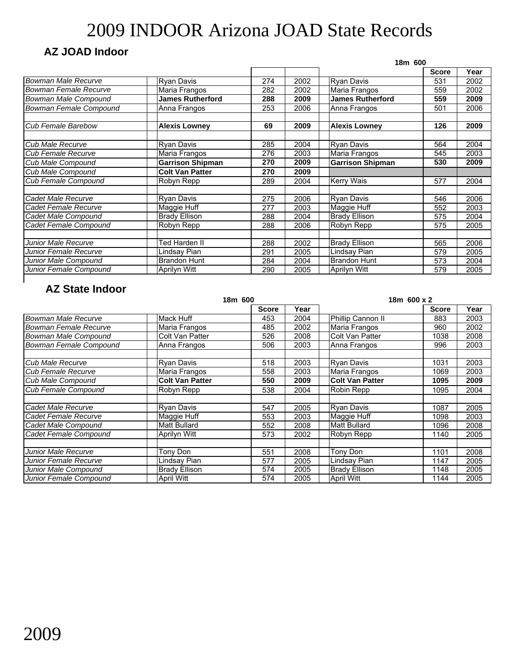### **AZ JOAD Indoor**

|                         |                         |     |      | 18m 600                 |              |      |  |
|-------------------------|-------------------------|-----|------|-------------------------|--------------|------|--|
|                         |                         |     |      |                         | <b>Score</b> | Year |  |
| Bowman Male Recurve     | <b>Ryan Davis</b>       | 274 | 2002 | <b>Ryan Davis</b>       | 531          | 2002 |  |
| Bowman Female Recurve   | Maria Frangos           | 282 | 2002 | Maria Frangos           | 559          | 2002 |  |
| Bowman Male Compound    | <b>James Rutherford</b> | 288 | 2009 | <b>James Rutherford</b> | 559          | 2009 |  |
| Bowman Female Compound  | Anna Frangos            | 253 | 2006 | Anna Frangos            | 501          | 2006 |  |
| Cub Female Barebow      | <b>Alexis Lowney</b>    | 69  | 2009 | <b>Alexis Lowney</b>    | 126          | 2009 |  |
| <b>Cub Male Recurve</b> | Ryan Davis              | 285 | 2004 | Ryan Davis              | 564          | 2004 |  |
| Cub Female Recurve      | Maria Frangos           | 276 | 2003 | Maria Frangos           | 545          | 2003 |  |
| Cub Male Compound       | <b>Garrison Shipman</b> | 270 | 2009 | <b>Garrison Shipman</b> | 530          | 2009 |  |
| Cub Male Compound       | <b>Colt Van Patter</b>  | 270 | 2009 |                         |              |      |  |
| Cub Female Compound     | Robyn Repp              | 289 | 2004 | <b>Kerry Wais</b>       | 577          | 2004 |  |
| Cadet Male Recurve      | Ryan Davis              | 275 | 2006 | Ryan Davis              | 546          | 2006 |  |
| Cadet Female Recurve    | Maggie Huff             | 277 | 2003 | Maggie Huff             | 552          | 2003 |  |
| Cadet Male Compound     | <b>Brady Ellison</b>    | 288 | 2004 | <b>Brady Ellison</b>    | 575          | 2004 |  |
| Cadet Female Compound   | Robyn Repp              | 288 | 2006 | Robyn Repp              | 575          | 2005 |  |
| Junior Male Recurve     | Ted Harden II           | 288 | 2002 | <b>Brady Ellison</b>    | 565          | 2006 |  |
| Junior Female Recurve   | Lindsay Pian            | 291 | 2005 | Lindsay Pian            | 579          | 2005 |  |
| Junior Male Compound    | <b>Brandon Hunt</b>     | 284 | 2004 | <b>Brandon Hunt</b>     | 573          | 2004 |  |
| Junior Female Compound  | <b>Aprilyn Witt</b>     | 290 | 2005 | Aprilyn Witt            | 579          | 2005 |  |

|                            | 18m 600                |              |      | 18m 600 x 2            |              |      |
|----------------------------|------------------------|--------------|------|------------------------|--------------|------|
|                            |                        | <b>Score</b> | Year |                        | <b>Score</b> | Year |
| <b>Bowman Male Recurve</b> | Mack Huff              | 453          | 2004 | Phillip Cannon II      | 883          | 2003 |
| Bowman Female Recurve      | Maria Frangos          | 485          | 2002 | Maria Frangos          | 960          | 2002 |
| Bowman Male Compound       | Colt Van Patter        | 526          | 2008 | <b>Colt Van Patter</b> | 1038         | 2008 |
| Bowman Female Compound     | Anna Frangos           | 506          | 2003 | Anna Frangos           | 996          | 2003 |
| Cub Male Recurve           | Ryan Davis             | 518          | 2003 | Ryan Davis             | 1031         | 2003 |
| <b>Cub Female Recurve</b>  | Maria Frangos          | 558          | 2003 | Maria Frangos          | 1069         | 2003 |
| <b>Cub Male Compound</b>   | <b>Colt Van Patter</b> | 550          | 2009 | <b>Colt Van Patter</b> | 1095         | 2009 |
| Cub Female Compound        | Robyn Repp             | 538          | 2004 | Robin Repp             | 1095         | 2004 |
|                            |                        |              |      |                        |              |      |
| Cadet Male Recurve         | Ryan Davis             | 547          | 2005 | Ryan Davis             | 1087         | 2005 |
| Cadet Female Recurve       | Maggie Huff            | 553          | 2003 | Maggie Huff            | 1098         | 2003 |
| Cadet Male Compound        | <b>Matt Bullard</b>    | 552          | 2008 | <b>Matt Bullard</b>    | 1096         | 2008 |
| Cadet Female Compound      | Aprilyn Witt           | 573          | 2002 | Robyn Repp             | 1140         | 2005 |
|                            |                        |              |      |                        |              |      |
| Junior Male Recurve        | Tony Don               | 551          | 2008 | Tony Don               | 1101         | 2008 |
| Junior Female Recurve      | Lindsay Pian           | 577          | 2005 | Lindsay Pian           | 1147         | 2005 |
| Junior Male Compound       | <b>Brady Ellison</b>   | 574          | 2005 | <b>Brady Ellison</b>   | 1148         | 2005 |
| Junior Female Compound     | <b>April Witt</b>      | 574          | 2005 | April Witt             | 1144         | 2005 |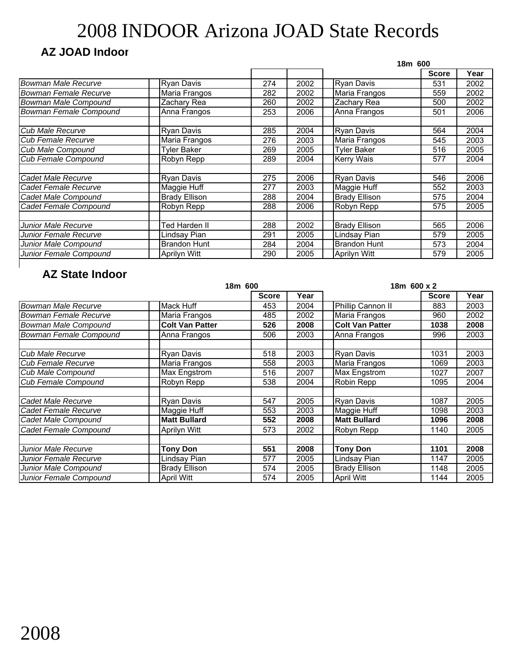### **AZ JOAD Indoor**

|                             |                      | 18m 600 |      |                      |              |      |
|-----------------------------|----------------------|---------|------|----------------------|--------------|------|
|                             |                      |         |      |                      | <b>Score</b> | Year |
| Bowman Male Recurve         | Ryan Davis           | 274     | 2002 | <b>Ryan Davis</b>    | 531          | 2002 |
| Bowman Female Recurve       | Maria Frangos        | 282     | 2002 | Maria Frangos        | 559          | 2002 |
| <b>Bowman Male Compound</b> | Zachary Rea          | 260     | 2002 | Zachary Rea          | 500          | 2002 |
| Bowman Female Compound      | Anna Frangos         | 253     | 2006 | Anna Frangos         | 501          | 2006 |
| Cub Male Recurve            | Ryan Davis           | 285     | 2004 | <b>Ryan Davis</b>    | 564          | 2004 |
| <b>Cub Female Recurve</b>   | Maria Frangos        | 276     | 2003 | Maria Frangos        | 545          | 2003 |
| Cub Male Compound           | Tyler Baker          | 269     | 2005 | <b>Tyler Baker</b>   | 516          | 2005 |
| <b>Cub Female Compound</b>  | Robyn Repp           | 289     | 2004 | <b>Kerry Wais</b>    | 577          | 2004 |
| Cadet Male Recurve          | Ryan Davis           | 275     | 2006 | <b>Ryan Davis</b>    | 546          | 2006 |
| Cadet Female Recurve        | Maggie Huff          | 277     | 2003 | Maggie Huff          | 552          | 2003 |
| Cadet Male Compound         | <b>Brady Ellison</b> | 288     | 2004 | <b>Brady Ellison</b> | 575          | 2004 |
| Cadet Female Compound       | Robyn Repp           | 288     | 2006 | Robyn Repp           | 575          | 2005 |
| Junior Male Recurve         | Ted Harden II        | 288     | 2002 | <b>Brady Ellison</b> | 565          | 2006 |
| Junior Female Recurve       | Lindsay Pian         | 291     | 2005 | Lindsay Pian         | 579          | 2005 |
| Junior Male Compound        | <b>Brandon Hunt</b>  | 284     | 2004 | <b>Brandon Hunt</b>  | 573          | 2004 |
| Junior Female Compound      | Aprilyn Witt         | 290     | 2005 | <b>Aprilyn Witt</b>  | 579          | 2005 |

|                               | 18m 600                |              |      | 18m 600 x 2            |              |      |
|-------------------------------|------------------------|--------------|------|------------------------|--------------|------|
|                               |                        | <b>Score</b> | Year |                        | <b>Score</b> | Year |
| <b>Bowman Male Recurve</b>    | Mack Huff              | 453          | 2004 | Phillip Cannon II      | 883          | 2003 |
| Bowman Female Recurve         | Maria Frangos          | 485          | 2002 | Maria Frangos          | 960          | 2002 |
| <b>Bowman Male Compound</b>   | <b>Colt Van Patter</b> | 526          | 2008 | <b>Colt Van Patter</b> | 1038         | 2008 |
| <b>Bowman Female Compound</b> | Anna Frangos           | 506          | 2003 | Anna Frangos           | 996          | 2003 |
| Cub Male Recurve              | Ryan Davis             | 518          | 2003 | <b>Ryan Davis</b>      | 1031         | 2003 |
| Cub Female Recurve            | Maria Frangos          | 558          | 2003 | Maria Frangos          | 1069         | 2003 |
| <b>Cub Male Compound</b>      | Max Engstrom           | 516          | 2007 | Max Engstrom           | 1027         | 2007 |
| <b>Cub Female Compound</b>    | Robyn Repp             | 538          | 2004 | Robin Repp             | 1095         | 2004 |
|                               |                        |              |      |                        |              |      |
| Cadet Male Recurve            | Ryan Davis             | 547          | 2005 | <b>Ryan Davis</b>      | 1087         | 2005 |
| Cadet Female Recurve          | Maggie Huff            | 553          | 2003 | Maggie Huff            | 1098         | 2003 |
| Cadet Male Compound           | <b>Matt Bullard</b>    | 552          | 2008 | <b>Matt Bullard</b>    | 1096         | 2008 |
| Cadet Female Compound         | Aprilyn Witt           | 573          | 2002 | Robyn Repp             | 1140         | 2005 |
|                               |                        |              |      |                        |              |      |
| Junior Male Recurve           | <b>Tony Don</b>        | 551          | 2008 | <b>Tony Don</b>        | 1101         | 2008 |
| Junior Female Recurve         | Lindsay Pian           | 577          | 2005 | Lindsay Pian           | 1147         | 2005 |
| Junior Male Compound          | <b>Brady Ellison</b>   | 574          | 2005 | <b>Brady Ellison</b>   | 1148         | 2005 |
| Junior Female Compound        | <b>April Witt</b>      | 574          | 2005 | <b>April Witt</b>      | 1144         | 2005 |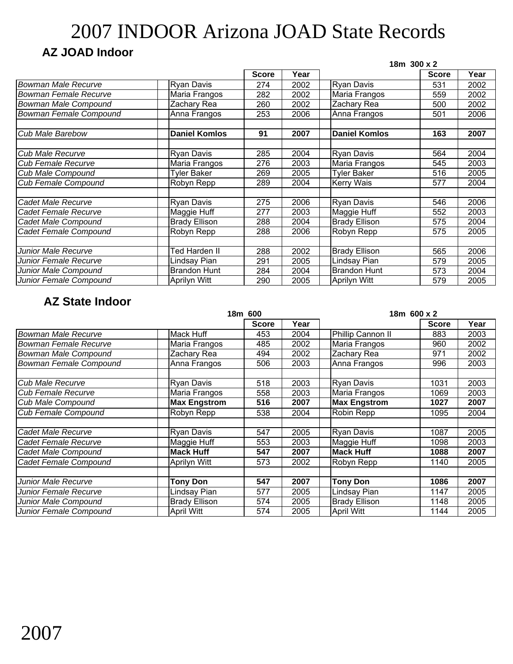### **AZ JOAD Indoor**

|                             |                      |              |      | 18m 300 x 2          |              |      |  |
|-----------------------------|----------------------|--------------|------|----------------------|--------------|------|--|
|                             |                      | <b>Score</b> | Year |                      | <b>Score</b> | Year |  |
| <b>Bowman Male Recurve</b>  | <b>Ryan Davis</b>    | 274          | 2002 | <b>Ryan Davis</b>    | 531          | 2002 |  |
| Bowman Female Recurve       | Maria Frangos        | 282          | 2002 | Maria Frangos        | 559          | 2002 |  |
| <b>Bowman Male Compound</b> | Zachary Rea          | 260          | 2002 | Zachary Rea          | 500          | 2002 |  |
| Bowman Female Compound      | Anna Frangos         | 253          | 2006 | Anna Frangos         | 501          | 2006 |  |
| <b>Cub Male Barebow</b>     | <b>Daniel Komlos</b> | 91           | 2007 | <b>Daniel Komlos</b> | 163          | 2007 |  |
| <b>Cub Male Recurve</b>     | <b>Ryan Davis</b>    | 285          | 2004 | <b>Ryan Davis</b>    | 564          | 2004 |  |
| <b>Cub Female Recurve</b>   | Maria Frangos        | 276          | 2003 | Maria Frangos        | 545          | 2003 |  |
| <b>Cub Male Compound</b>    | <b>Tyler Baker</b>   | 269          | 2005 | <b>Tyler Baker</b>   | 516          | 2005 |  |
| Cub Female Compound         | Robyn Repp           | 289          | 2004 | <b>Kerry Wais</b>    | 577          | 2004 |  |
| Cadet Male Recurve          | <b>Ryan Davis</b>    | 275          | 2006 | <b>Ryan Davis</b>    | 546          | 2006 |  |
| Cadet Female Recurve        | Maggie Huff          | 277          | 2003 | Maggie Huff          | 552          | 2003 |  |
| Cadet Male Compound         | <b>Brady Ellison</b> | 288          | 2004 | <b>Brady Ellison</b> | 575          | 2004 |  |
| Cadet Female Compound       | Robyn Repp           | 288          | 2006 | Robyn Repp           | 575          | 2005 |  |
|                             |                      |              |      |                      |              |      |  |
| Junior Male Recurve         | Fed Harden II        | 288          | 2002 | <b>Brady Ellison</b> | 565          | 2006 |  |
| Junior Female Recurve       | Lindsay Pian         | 291          | 2005 | Lindsay Pian         | 579          | 2005 |  |
| Junior Male Compound        | <b>Brandon Hunt</b>  | 284          | 2004 | <b>Brandon Hunt</b>  | 573          | 2004 |  |
| Junior Female Compound      | Aprilyn Witt         | 290          | 2005 | Aprilyn Witt         | 579          | 2005 |  |

|                               |                      | 18m 600      |      | 18m 600 x 2          |              |      |
|-------------------------------|----------------------|--------------|------|----------------------|--------------|------|
|                               |                      | <b>Score</b> | Year |                      | <b>Score</b> | Year |
| Bowman Male Recurve           | <b>Mack Huff</b>     | 453          | 2004 | Phillip Cannon II    | 883          | 2003 |
| Bowman Female Recurve         | Maria Frangos        | 485          | 2002 | Maria Frangos        | 960          | 2002 |
| <b>Bowman Male Compound</b>   | Zachary Rea          | 494          | 2002 | Zachary Rea          | 971          | 2002 |
| <b>Bowman Female Compound</b> | Anna Frangos         | 506          | 2003 | Anna Frangos         | 996          | 2003 |
| Cub Male Recurve              | <b>Ryan Davis</b>    | 518          | 2003 | <b>Ryan Davis</b>    | 1031         | 2003 |
| Cub Female Recurve            | Maria Frangos        | 558          | 2003 | Maria Frangos        | 1069         | 2003 |
| Cub Male Compound             | <b>Max Engstrom</b>  | 516          | 2007 | <b>Max Engstrom</b>  | 1027         | 2007 |
| <b>Cub Female Compound</b>    | Robyn Repp           | 538          | 2004 | Robin Repp           | 1095         | 2004 |
|                               |                      |              |      |                      |              |      |
| Cadet Male Recurve            | <b>Ryan Davis</b>    | 547          | 2005 | <b>Ryan Davis</b>    | 1087         | 2005 |
| <b>I</b> Cadet Female Recurve | Maggie Huff          | 553          | 2003 | Maggie Huff          | 1098         | 2003 |
| Cadet Male Compound           | <b>Mack Huff</b>     | 547          | 2007 | <b>Mack Huff</b>     | 1088         | 2007 |
| Cadet Female Compound         | Aprilyn Witt         | 573          | 2002 | Robyn Repp           | 1140         | 2005 |
|                               |                      |              |      |                      |              |      |
| Junior Male Recurve           | <b>Tony Don</b>      | 547          | 2007 | <b>Tony Don</b>      | 1086         | 2007 |
| Junior Female Recurve         | Lindsay Pian         | 577          | 2005 | Lindsay Pian         | 1147         | 2005 |
| Junior Male Compound          | <b>Brady Ellison</b> | 574          | 2005 | <b>Brady Ellison</b> | 1148         | 2005 |
| Junior Female Compound        | <b>April Witt</b>    | 574          | 2005 | <b>April Witt</b>    | 1144         | 2005 |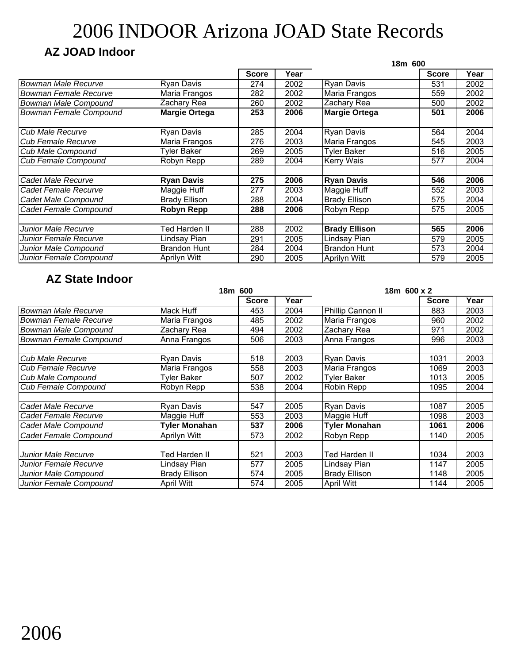### **AZ JOAD Indoor**

|                             |                      |              |      | 18m 600              |              |      |
|-----------------------------|----------------------|--------------|------|----------------------|--------------|------|
|                             |                      | <b>Score</b> | Year |                      | <b>Score</b> | Year |
| <b>Bowman Male Recurve</b>  | <b>Ryan Davis</b>    | 274          | 2002 | <b>Ryan Davis</b>    | 531          | 2002 |
| Bowman Female Recurve       | Maria Frangos        | 282          | 2002 | Maria Frangos        | 559          | 2002 |
| <b>Bowman Male Compound</b> | Zachary Rea          | 260          | 2002 | Zachary Rea          | 500          | 2002 |
| Bowman Female Compound      | <b>Margie Ortega</b> | 253          | 2006 | <b>Margie Ortega</b> | 501          | 2006 |
|                             |                      |              |      |                      |              |      |
| Cub Male Recurve            | <b>Ryan Davis</b>    | 285          | 2004 | <b>Ryan Davis</b>    | 564          | 2004 |
| Cub Female Recurve          | Maria Frangos        | 276          | 2003 | Maria Frangos        | 545          | 2003 |
| Cub Male Compound           | <b>Tyler Baker</b>   | 269          | 2005 | <b>Tyler Baker</b>   | 516          | 2005 |
| <b>Cub Female Compound</b>  | Robyn Repp           | 289          | 2004 | <b>Kerry Wais</b>    | 577          | 2004 |
|                             |                      |              |      |                      |              |      |
| Cadet Male Recurve          | <b>Ryan Davis</b>    | 275          | 2006 | <b>Ryan Davis</b>    | 546          | 2006 |
| Cadet Female Recurve        | Maggie Huff          | 277          | 2003 | Maggie Huff          | 552          | 2003 |
| Cadet Male Compound         | <b>Brady Ellison</b> | 288          | 2004 | <b>Brady Ellison</b> | 575          | 2004 |
| Cadet Female Compound       | <b>Robyn Repp</b>    | 288          | 2006 | Robyn Repp           | 575          | 2005 |
|                             |                      |              |      |                      |              |      |
| Junior Male Recurve         | Ted Harden II        | 288          | 2002 | <b>Brady Ellison</b> | 565          | 2006 |
| Junior Female Recurve       | Lindsay Pian         | 291          | 2005 | Lindsay Pian         | 579          | 2005 |
| Junior Male Compound        | <b>Brandon Hunt</b>  | 284          | 2004 | <b>Brandon Hunt</b>  | 573          | 2004 |
| Junior Female Compound      | Aprilyn Witt         | 290          | 2005 | <b>Aprilyn Witt</b>  | 579          | 2005 |

|                               |                      | 18m 600      |      | 18m 600 x 2          |              |      |
|-------------------------------|----------------------|--------------|------|----------------------|--------------|------|
|                               |                      | <b>Score</b> | Year |                      | <b>Score</b> | Year |
| <b>Bowman Male Recurve</b>    | Mack Huff            | 453          | 2004 | Phillip Cannon II    | 883          | 2003 |
| <b>Bowman Female Recurve</b>  | Maria Frangos        | 485          | 2002 | Maria Frangos        | 960          | 2002 |
| <b>Bowman Male Compound</b>   | Zachary Rea          | 494          | 2002 | Zachary Rea          | 971          | 2002 |
| <b>Bowman Female Compound</b> | Anna Frangos         | 506          | 2003 | Anna Frangos         | 996          | 2003 |
| Cub Male Recurve              | <b>Ryan Davis</b>    | 518          | 2003 | <b>Ryan Davis</b>    | 1031         | 2003 |
| <b>I</b> Cub Female Recurve   | Maria Frangos        | 558          | 2003 | Maria Frangos        | 1069         | 2003 |
| Cub Male Compound             | <b>Tyler Baker</b>   | 507          | 2002 | <b>Tyler Baker</b>   | 1013         | 2005 |
| <b>Cub Female Compound</b>    | Robyn Repp           | 538          | 2004 | Robin Repp           | 1095         | 2004 |
| Cadet Male Recurve            | <b>Ryan Davis</b>    | 547          | 2005 | <b>Ryan Davis</b>    | 1087         | 2005 |
| Cadet Female Recurve          | Maggie Huff          | 553          | 2003 | Maggie Huff          | 1098         | 2003 |
| Cadet Male Compound           | Tyler Monahan        | 537          | 2006 | <b>Tyler Monahan</b> | 1061         | 2006 |
| Cadet Female Compound         | Aprilyn Witt         | 573          | 2002 | Robyn Repp           | 1140         | 2005 |
| Junior Male Recurve           | Ted Harden II        | 521          | 2003 | Ted Harden II        | 1034         | 2003 |
| Junior Female Recurve         | Lindsay Pian         | 577          | 2005 | Lindsay Pian         | 1147         | 2005 |
| Junior Male Compound          | <b>Brady Ellison</b> | 574          | 2005 | <b>Brady Ellison</b> | 1148         | 2005 |
| Junior Female Compound        | <b>April Witt</b>    | 574          | 2005 | <b>April Witt</b>    | 1144         | 2005 |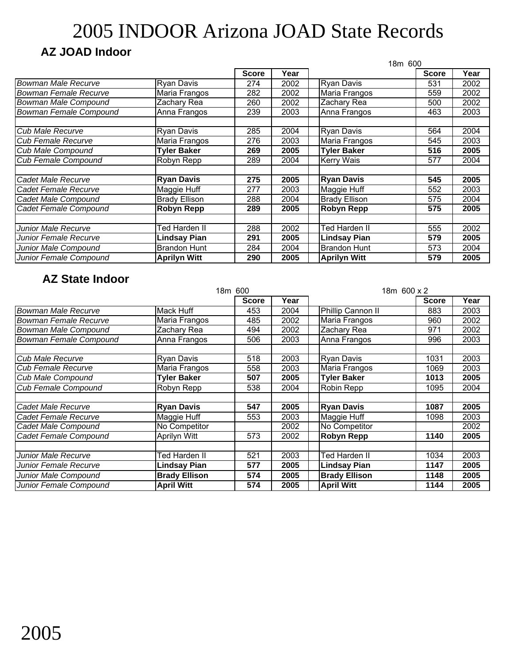### **AZ JOAD Indoor**

|                               |                      |              | 18m 600 |                      |              |      |
|-------------------------------|----------------------|--------------|---------|----------------------|--------------|------|
|                               |                      | <b>Score</b> | Year    |                      | <b>Score</b> | Year |
| <b>Bowman Male Recurve</b>    | <b>Ryan Davis</b>    | 274          | 2002    | <b>Ryan Davis</b>    | 531          | 2002 |
| Bowman Female Recurve         | Maria Frangos        | 282          | 2002    | Maria Frangos        | 559          | 2002 |
| Bowman Male Compound          | Zachary Rea          | 260          | 2002    | Zachary Rea          | 500          | 2002 |
| <b>Bowman Female Compound</b> | Anna Frangos         | 239          | 2003    | Anna Frangos         | 463          | 2003 |
|                               |                      |              |         |                      |              |      |
| Cub Male Recurve              | <b>Ryan Davis</b>    | 285          | 2004    | <b>Ryan Davis</b>    | 564          | 2004 |
| <b>Cub Female Recurve</b>     | Maria Frangos        | 276          | 2003    | Maria Frangos        | 545          | 2003 |
| Cub Male Compound             | <b>Tyler Baker</b>   | 269          | 2005    | <b>Tyler Baker</b>   | 516          | 2005 |
| <b>Cub Female Compound</b>    | Robyn Repp           | 289          | 2004    | <b>Kerry Wais</b>    | 577          | 2004 |
|                               |                      |              |         |                      |              |      |
| Cadet Male Recurve            | <b>Ryan Davis</b>    | 275          | 2005    | <b>Ryan Davis</b>    | 545          | 2005 |
| Cadet Female Recurve          | Maggie Huff          | 277          | 2003    | Maggie Huff          | 552          | 2003 |
| Cadet Male Compound           | <b>Brady Ellison</b> | 288          | 2004    | <b>Brady Ellison</b> | 575          | 2004 |
| Cadet Female Compound         | Robyn Repp           | 289          | 2005    | Robyn Repp           | 575          | 2005 |
|                               |                      |              |         |                      |              |      |
| Junior Male Recurve           | Ted Harden II        | 288          | 2002    | Ted Harden II        | 555          | 2002 |
| Junior Female Recurve         | <b>Lindsay Pian</b>  | 291          | 2005    | <b>Lindsay Pian</b>  | 579          | 2005 |
| Junior Male Compound          | <b>Brandon Hunt</b>  | 284          | 2004    | <b>Brandon Hunt</b>  | 573          | 2004 |
| Junior Female Compound        | <b>Aprilyn Witt</b>  | 290          | 2005    | <b>Aprilyn Witt</b>  | 579          | 2005 |

|                              |                      | 18m 600<br>18m 600 x 2 |      |                      |              |      |
|------------------------------|----------------------|------------------------|------|----------------------|--------------|------|
|                              |                      | <b>Score</b>           | Year |                      | <b>Score</b> | Year |
| <b>Bowman Male Recurve</b>   | Mack Huff            | 453                    | 2004 | Phillip Cannon II    | 883          | 2003 |
| <b>Bowman Female Recurve</b> | Maria Frangos        | 485                    | 2002 | Maria Frangos        | 960          | 2002 |
| <b>Bowman Male Compound</b>  | Zachary Rea          | 494                    | 2002 | Zachary Rea          | 971          | 2002 |
| Bowman Female Compound       | Anna Frangos         | 506                    | 2003 | Anna Frangos         | 996          | 2003 |
|                              |                      |                        |      |                      |              |      |
| Cub Male Recurve             | Ryan Davis           | 518                    | 2003 | <b>Ryan Davis</b>    | 1031         | 2003 |
| Cub Female Recurve           | Maria Frangos        | 558                    | 2003 | Maria Frangos        | 1069         | 2003 |
| <b>Cub Male Compound</b>     | <b>Tyler Baker</b>   | 507                    | 2005 | <b>Tyler Baker</b>   | 1013         | 2005 |
| <b>Cub Female Compound</b>   | Robyn Repp           | 538                    | 2004 | Robin Repp           | 1095         | 2004 |
|                              |                      |                        |      |                      |              |      |
| Cadet Male Recurve           | <b>Ryan Davis</b>    | 547                    | 2005 | <b>Ryan Davis</b>    | 1087         | 2005 |
| <b>Cadet Female Recurve</b>  | Maggie Huff          | 553                    | 2003 | Maggie Huff          | 1098         | 2003 |
| Cadet Male Compound          | No Competitor        |                        | 2002 | No Competitor        |              | 2002 |
| Cadet Female Compound        | Aprilyn Witt         | 573                    | 2002 | <b>Robyn Repp</b>    | 1140         | 2005 |
|                              |                      |                        |      |                      |              |      |
| <b>Junior Male Recurve</b>   | Ted Harden II        | 521                    | 2003 | Ted Harden II        | 1034         | 2003 |
| Junior Female Recurve        | Lindsay Pian         | 577                    | 2005 | <b>Lindsay Pian</b>  | 1147         | 2005 |
| Junior Male Compound         | <b>Brady Ellison</b> | 574                    | 2005 | <b>Brady Ellison</b> | 1148         | 2005 |
| Junior Female Compound       | <b>April Witt</b>    | 574                    | 2005 | <b>April Witt</b>    | 1144         | 2005 |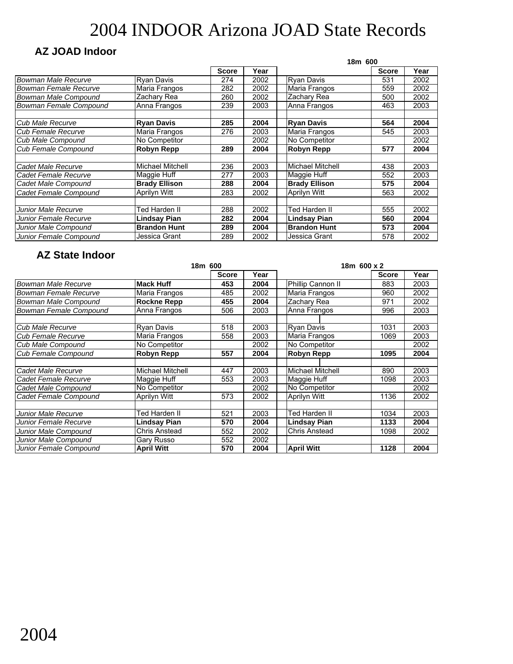### **AZ JOAD Indoor**

|                            |                      |              |      | 18m 600              |              |      |
|----------------------------|----------------------|--------------|------|----------------------|--------------|------|
|                            |                      | <b>Score</b> | Year |                      | <b>Score</b> | Year |
| <b>Bowman Male Recurve</b> | <b>Ryan Davis</b>    | 274          | 2002 | <b>Rvan Davis</b>    | 531          | 2002 |
| Bowman Female Recurve      | Maria Frangos        | 282          | 2002 | Maria Frangos        | 559          | 2002 |
| Bowman Male Compound       | Zachary Rea          | 260          | 2002 | Zachary Rea          | 500          | 2002 |
| Bowman Female Compound     | Anna Frangos         | 239          | 2003 | Anna Frangos         | 463          | 2003 |
|                            |                      |              |      |                      |              |      |
| Cub Male Recurve           | <b>Ryan Davis</b>    | 285          | 2004 | <b>Ryan Davis</b>    | 564          | 2004 |
| <b>Cub Female Recurve</b>  | Maria Frangos        | 276          | 2003 | Maria Frangos        | 545          | 2003 |
| Cub Male Compound          | No Competitor        |              | 2002 | No Competitor        |              | 2002 |
| <b>Cub Female Compound</b> | <b>Robyn Repp</b>    | 289          | 2004 | <b>Robyn Repp</b>    | 577          | 2004 |
|                            |                      |              |      |                      |              |      |
| Cadet Male Recurve         | Michael Mitchell     | 236          | 2003 | Michael Mitchell     | 438          | 2003 |
| Cadet Female Recurve       | Maggie Huff          | 277          | 2003 | Maggie Huff          | 552          | 2003 |
| Cadet Male Compound        | <b>Brady Ellison</b> | 288          | 2004 | <b>Brady Ellison</b> | 575          | 2004 |
| Cadet Female Compound      | <b>Aprilyn Witt</b>  | 283          | 2002 | Aprilyn Witt         | 563          | 2002 |
|                            |                      |              |      |                      |              |      |
| Junior Male Recurve        | <b>Ted Harden II</b> | 288          | 2002 | Ted Harden II        | 555          | 2002 |
| Junior Female Recurve      | <b>Lindsay Pian</b>  | 282          | 2004 | Lindsay Pian         | 560          | 2004 |
| Junior Male Compound       | <b>Brandon Hunt</b>  | 289          | 2004 | <b>Brandon Hunt</b>  | 573          | 2004 |
| Junior Female Compound     | Jessica Grant        | 289          | 2002 | Jessica Grant        | 578          | 2002 |

|                              |                         | 18m 600      |      | 18m 600 x 2             |              |      |
|------------------------------|-------------------------|--------------|------|-------------------------|--------------|------|
|                              |                         | <b>Score</b> | Year |                         | <b>Score</b> | Year |
| Bowman Male Recurve          | <b>Mack Huff</b>        | 453          | 2004 | Phillip Cannon II       | 883          | 2003 |
| <b>Bowman Female Recurve</b> | Maria Frangos           | 485          | 2002 | Maria Frangos           | 960          | 2002 |
| Bowman Male Compound         | <b>Rockne Repp</b>      | 455          | 2004 | Zachary Rea             | 971          | 2002 |
| Bowman Female Compound       | Anna Frangos            | 506          | 2003 | Anna Frangos            | 996          | 2003 |
|                              |                         |              |      |                         |              |      |
| <b>Cub Male Recurve</b>      | Ryan Davis              | 518          | 2003 | <b>Rvan Davis</b>       | 1031         | 2003 |
| <b>Cub Female Recurve</b>    | Maria Frangos           | 558          | 2003 | Maria Frangos           | 1069         | 2003 |
| Cub Male Compound            | No Competitor           |              | 2002 | No Competitor           |              | 2002 |
| <b>Cub Female Compound</b>   | <b>Robyn Repp</b>       | 557          | 2004 | <b>Robyn Repp</b>       | 1095         | 2004 |
|                              |                         |              |      |                         |              |      |
| Cadet Male Recurve           | <b>Michael Mitchell</b> | 447          | 2003 | <b>Michael Mitchell</b> | 890          | 2003 |
| Cadet Female Recurve         | Maggie Huff             | 553          | 2003 | Maggie Huff             | 1098         | 2003 |
| Cadet Male Compound          | No Competitor           |              | 2002 | No Competitor           |              | 2002 |
| Cadet Female Compound        | Aprilyn Witt            | 573          | 2002 | Aprilyn Witt            | 1136         | 2002 |
|                              |                         |              |      |                         |              |      |
| Junior Male Recurve          | Ted Harden II           | 521          | 2003 | Ted Harden II           | 1034         | 2003 |
| Junior Female Recurve        | Lindsay Pian            | 570          | 2004 | Lindsay Pian            | 1133         | 2004 |
| Junior Male Compound         | Chris Anstead           | 552          | 2002 | <b>Chris Anstead</b>    | 1098         | 2002 |
| Junior Male Compound         | Gary Russo              | 552          | 2002 |                         |              |      |
| Junior Female Compound       | <b>April Witt</b>       | 570          | 2004 | <b>April Witt</b>       | 1128         | 2004 |